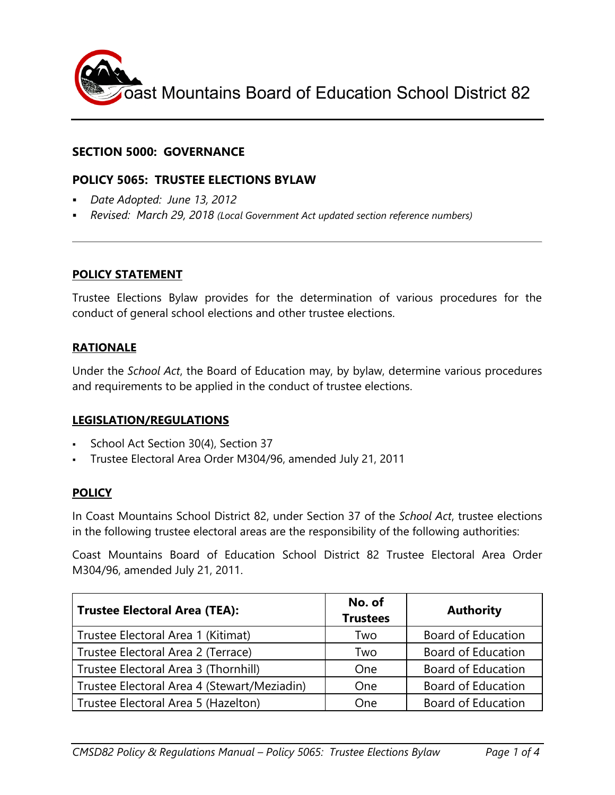

### **SECTION 5000: GOVERNANCE**

### **POLICY 5065: TRUSTEE ELECTIONS BYLAW**

- *Date Adopted: June 13, 2012*
- *Revised: March 29, 2018 (Local Government Act updated section reference numbers)*

#### **POLICY STATEMENT**

Trustee Elections Bylaw provides for the determination of various procedures for the conduct of general school elections and other trustee elections.

#### **RATIONALE**

Under the *School Act*, the Board of Education may, by bylaw, determine various procedures and requirements to be applied in the conduct of trustee elections.

#### **LEGISLATION/REGULATIONS**

- School Act Section 30(4), Section 37
- Trustee Electoral Area Order M304/96, amended July 21, 2011

#### **POLICY**

In Coast Mountains School District 82, under Section 37 of the *School Act*, trustee elections in the following trustee electoral areas are the responsibility of the following authorities:

Coast Mountains Board of Education School District 82 Trustee Electoral Area Order M304/96, amended July 21, 2011.

| <b>Trustee Electoral Area (TEA):</b>        | No. of<br><b>Trustees</b> | <b>Authority</b>          |
|---------------------------------------------|---------------------------|---------------------------|
| Trustee Electoral Area 1 (Kitimat)          | Two                       | <b>Board of Education</b> |
| Trustee Electoral Area 2 (Terrace)          | Two                       | <b>Board of Education</b> |
| Trustee Electoral Area 3 (Thornhill)        | One                       | <b>Board of Education</b> |
| Trustee Electoral Area 4 (Stewart/Meziadin) | One                       | <b>Board of Education</b> |
| Trustee Electoral Area 5 (Hazelton)         | One                       | <b>Board of Education</b> |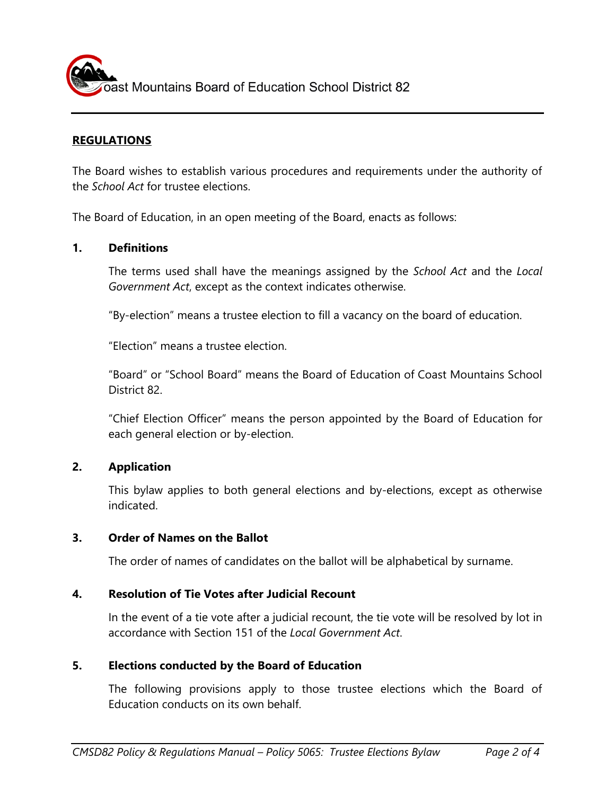ast Mountains Board of Education School District 82

## **REGULATIONS**

The Board wishes to establish various procedures and requirements under the authority of the *School Act* for trustee elections.

The Board of Education, in an open meeting of the Board, enacts as follows:

#### **1. Definitions**

The terms used shall have the meanings assigned by the *School Act* and the *Local Government Act*, except as the context indicates otherwise.

"By-election" means a trustee election to fill a vacancy on the board of education.

"Election" means a trustee election.

"Board" or "School Board" means the Board of Education of Coast Mountains School District 82.

"Chief Election Officer" means the person appointed by the Board of Education for each general election or by-election.

#### **2. Application**

This bylaw applies to both general elections and by-elections, except as otherwise indicated.

#### **3. Order of Names on the Ballot**

The order of names of candidates on the ballot will be alphabetical by surname.

#### **4. Resolution of Tie Votes after Judicial Recount**

In the event of a tie vote after a judicial recount, the tie vote will be resolved by lot in accordance with Section 151 of the *Local Government Act*.

#### **5. Elections conducted by the Board of Education**

The following provisions apply to those trustee elections which the Board of Education conducts on its own behalf.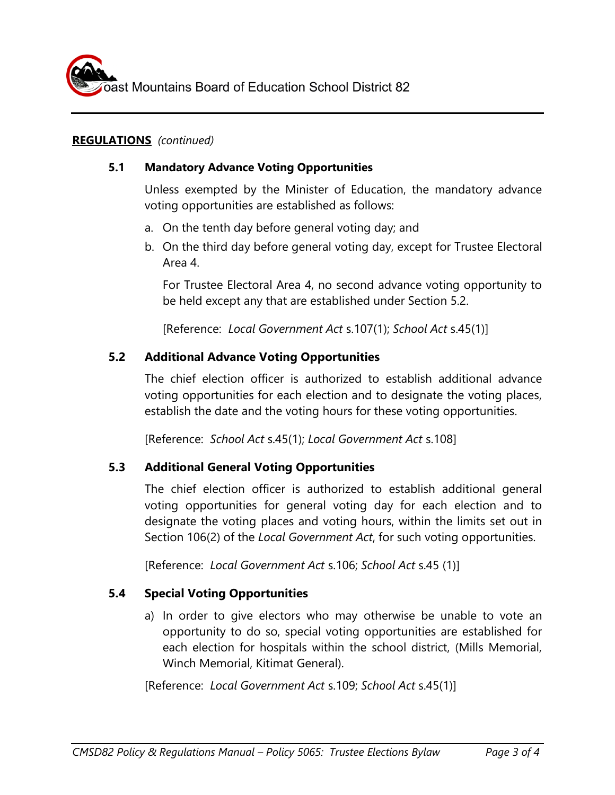## **REGULATIONS** *(continued)*

## **5.1 Mandatory Advance Voting Opportunities**

Unless exempted by the Minister of Education, the mandatory advance voting opportunities are established as follows:

- a. On the tenth day before general voting day; and
- b. On the third day before general voting day, except for Trustee Electoral Area 4.

For Trustee Electoral Area 4, no second advance voting opportunity to be held except any that are established under Section 5.2.

[Reference: *Local Government Act* s.107(1); *School Act* s.45(1)]

# **5.2 Additional Advance Voting Opportunities**

The chief election officer is authorized to establish additional advance voting opportunities for each election and to designate the voting places, establish the date and the voting hours for these voting opportunities.

[Reference: *School Act* s.45(1); *Local Government Act* s.108]

# **5.3 Additional General Voting Opportunities**

The chief election officer is authorized to establish additional general voting opportunities for general voting day for each election and to designate the voting places and voting hours, within the limits set out in Section 106(2) of the *Local Government Act*, for such voting opportunities.

[Reference: *Local Government Act* s.106; *School Act* s.45 (1)]

# **5.4 Special Voting Opportunities**

a) In order to give electors who may otherwise be unable to vote an opportunity to do so, special voting opportunities are established for each election for hospitals within the school district, (Mills Memorial, Winch Memorial, Kitimat General).

[Reference: *Local Government Act* s.109; *School Act* s.45(1)]